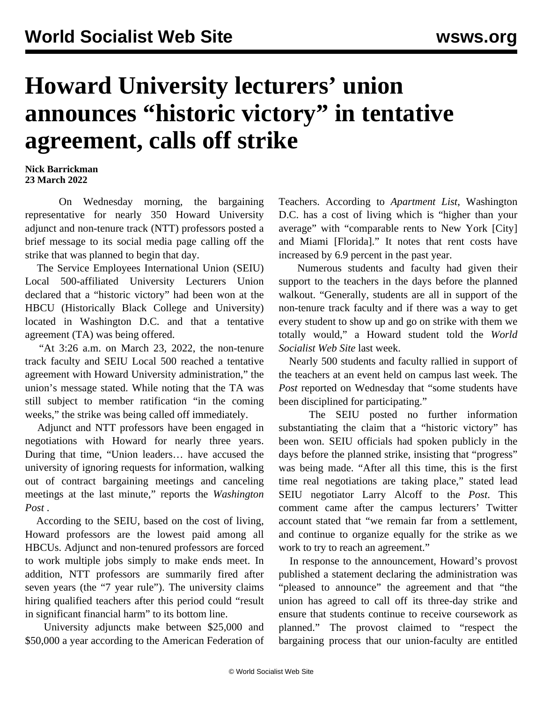## **Howard University lecturers' union announces "historic victory" in tentative agreement, calls off strike**

## **Nick Barrickman 23 March 2022**

 On Wednesday morning, the bargaining representative for nearly 350 Howard University adjunct and non-tenure track (NTT) professors posted a brief message to its social media page calling off the strike that was planned to begin that day.

 The Service Employees International Union (SEIU) Local 500-affiliated University Lecturers Union declared that a "historic victory" had been won at the HBCU (Historically Black College and University) located in Washington D.C. and that a tentative agreement (TA) was being offered.

 "At 3:26 a.m. on March 23, 2022, the non-tenure track faculty and SEIU Local 500 reached a tentative agreement with Howard University administration," the union's message stated. While noting that the TA was still subject to member ratification "in the coming weeks," the strike was being called off immediately.

 Adjunct and NTT professors have been engaged in negotiations with Howard for nearly three years. During that time, "Union leaders… have accused the university of ignoring requests for information, walking out of contract bargaining meetings and canceling meetings at the last minute," reports the *Washington Post* .

 According to the SEIU, based on the cost of living, Howard professors are the lowest paid among all HBCUs. Adjunct and non-tenured professors are forced to work multiple jobs simply to make ends meet. In addition, NTT professors are summarily fired after seven years (the "7 year rule"). The university claims hiring qualified teachers after this period could "result in significant financial harm" to its bottom line.

 University adjuncts make between \$25,000 and \$50,000 a year according to the American Federation of Teachers. According to *Apartment List*, Washington D.C. has a cost of living which is "higher than your average" with "comparable rents to New York [City] and Miami [Florida]." It notes that rent costs have increased by 6.9 percent in the past year.

 Numerous students and faculty had given their [support](/en/articles/2022/03/19/howa-m19.html) to the teachers in the days before the planned walkout. "Generally, students are all in support of the non-tenure track faculty and if there was a way to get every student to show up and go on strike with them we totally would," a Howard student told the *World Socialist Web Site* last week.

 Nearly 500 students and faculty rallied in support of the teachers at an event held on campus last week. The *Post* reported on Wednesday that "some students have been disciplined for participating."

 The SEIU posted no further information substantiating the claim that a "historic victory" has been won. SEIU officials had spoken publicly in the days before the planned strike, insisting that "progress" was being made. "After all this time, this is the first time real negotiations are taking place," stated lead SEIU negotiator Larry Alcoff to the *Post*. This comment came after the campus lecturers' Twitter account stated that "we remain far from a settlement, and continue to organize equally for the strike as we work to try to reach an agreement."

 In response to the announcement, Howard's provost published a statement declaring the administration was "pleased to announce" the agreement and that "the union has agreed to call off its three-day strike and ensure that students continue to receive coursework as planned." The provost claimed to "respect the bargaining process that our union-faculty are entitled